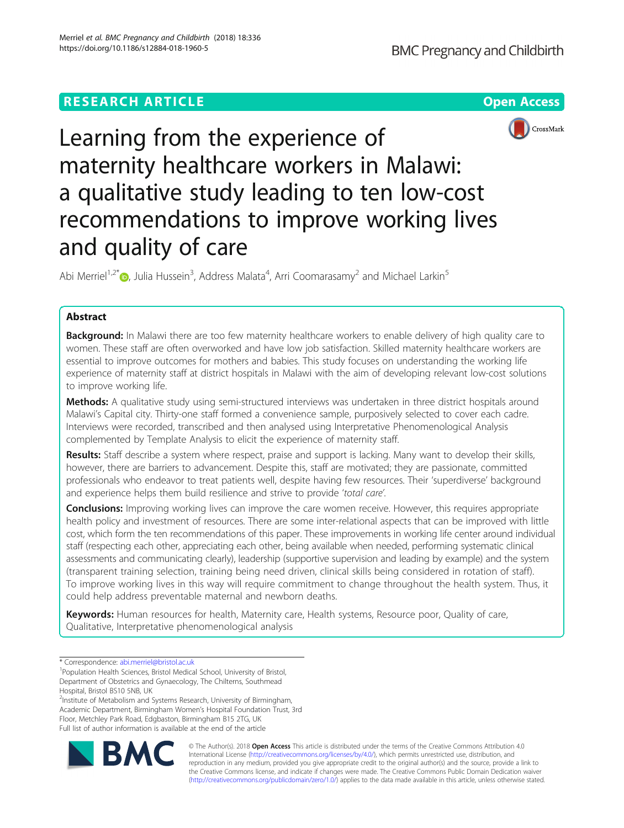# **RESEARCH ARTICLE Example 2018 12:30 THE Open Access**





Learning from the experience of maternity healthcare workers in Malawi: a qualitative study leading to ten low-cost recommendations to improve working lives and quality of care

Abi Merriel<sup>1,2[\\*](http://orcid.org/0000-0003-0352-2106)</sup>®, Julia Hussein<sup>3</sup>, Address Malata<sup>4</sup>, Arri Coomarasamy<sup>2</sup> and Michael Larkin<sup>5</sup>

# Abstract

Background: In Malawi there are too few maternity healthcare workers to enable delivery of high quality care to women. These staff are often overworked and have low job satisfaction. Skilled maternity healthcare workers are essential to improve outcomes for mothers and babies. This study focuses on understanding the working life experience of maternity staff at district hospitals in Malawi with the aim of developing relevant low-cost solutions to improve working life.

Methods: A qualitative study using semi-structured interviews was undertaken in three district hospitals around Malawi's Capital city. Thirty-one staff formed a convenience sample, purposively selected to cover each cadre. Interviews were recorded, transcribed and then analysed using Interpretative Phenomenological Analysis complemented by Template Analysis to elicit the experience of maternity staff.

Results: Staff describe a system where respect, praise and support is lacking. Many want to develop their skills, however, there are barriers to advancement. Despite this, staff are motivated; they are passionate, committed professionals who endeavor to treat patients well, despite having few resources. Their 'superdiverse' background and experience helps them build resilience and strive to provide 'total care'.

**Conclusions:** Improving working lives can improve the care women receive. However, this requires appropriate health policy and investment of resources. There are some inter-relational aspects that can be improved with little cost, which form the ten recommendations of this paper. These improvements in working life center around individual staff (respecting each other, appreciating each other, being available when needed, performing systematic clinical assessments and communicating clearly), leadership (supportive supervision and leading by example) and the system (transparent training selection, training being need driven, clinical skills being considered in rotation of staff). To improve working lives in this way will require commitment to change throughout the health system. Thus, it could help address preventable maternal and newborn deaths.

Keywords: Human resources for health, Maternity care, Health systems, Resource poor, Quality of care, Qualitative, Interpretative phenomenological analysis

<sup>2</sup>Institute of Metabolism and Systems Research, University of Birmingham, Academic Department, Birmingham Women's Hospital Foundation Trust, 3rd Floor, Metchley Park Road, Edgbaston, Birmingham B15 2TG, UK Full list of author information is available at the end of the article



© The Author(s). 2018 Open Access This article is distributed under the terms of the Creative Commons Attribution 4.0 International License [\(http://creativecommons.org/licenses/by/4.0/](http://creativecommons.org/licenses/by/4.0/)), which permits unrestricted use, distribution, and reproduction in any medium, provided you give appropriate credit to the original author(s) and the source, provide a link to the Creative Commons license, and indicate if changes were made. The Creative Commons Public Domain Dedication waiver [\(http://creativecommons.org/publicdomain/zero/1.0/](http://creativecommons.org/publicdomain/zero/1.0/)) applies to the data made available in this article, unless otherwise stated.

<sup>\*</sup> Correspondence: [abi.merriel@bristol.ac.uk](mailto:abi.merriel@bristol.ac.uk) <sup>1</sup>

<sup>&</sup>lt;sup>1</sup>Population Health Sciences, Bristol Medical School, University of Bristol, Department of Obstetrics and Gynaecology, The Chilterns, Southmead Hospital, Bristol BS10 5NB, UK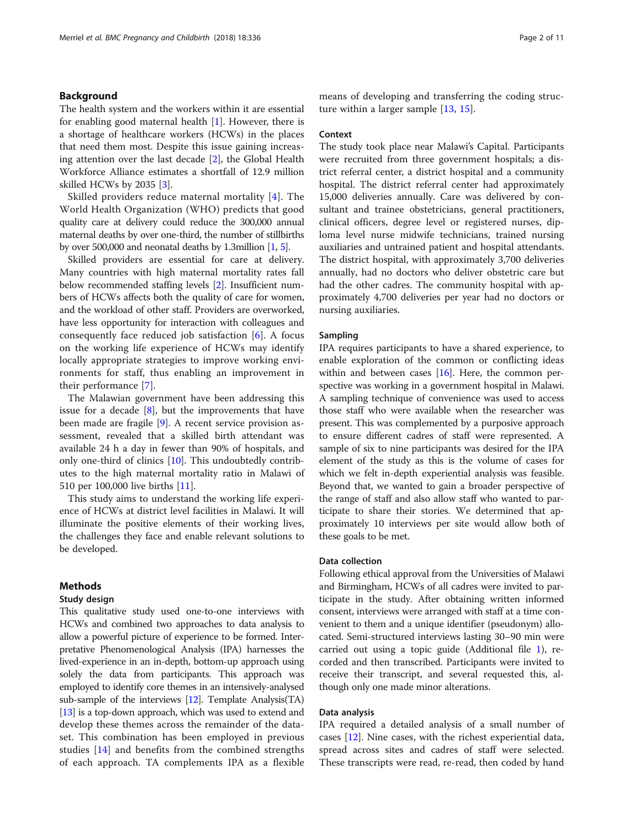# Background

The health system and the workers within it are essential for enabling good maternal health [[1\]](#page-10-0). However, there is a shortage of healthcare workers (HCWs) in the places that need them most. Despite this issue gaining increasing attention over the last decade [[2\]](#page-10-0), the Global Health Workforce Alliance estimates a shortfall of 12.9 million skilled HCWs by 2035 [[3\]](#page-10-0).

Skilled providers reduce maternal mortality [[4\]](#page-10-0). The World Health Organization (WHO) predicts that good quality care at delivery could reduce the 300,000 annual maternal deaths by over one-third, the number of stillbirths by over 500,000 and neonatal deaths by 1.3million [\[1,](#page-10-0) [5](#page-10-0)].

Skilled providers are essential for care at delivery. Many countries with high maternal mortality rates fall below recommended staffing levels [\[2](#page-10-0)]. Insufficient numbers of HCWs affects both the quality of care for women, and the workload of other staff. Providers are overworked, have less opportunity for interaction with colleagues and consequently face reduced job satisfaction  $[6]$  $[6]$ . A focus on the working life experience of HCWs may identify locally appropriate strategies to improve working environments for staff, thus enabling an improvement in their performance [\[7](#page-10-0)].

The Malawian government have been addressing this issue for a decade  $[8]$  $[8]$ , but the improvements that have been made are fragile [[9\]](#page-10-0). A recent service provision assessment, revealed that a skilled birth attendant was available 24 h a day in fewer than 90% of hospitals, and only one-third of clinics [[10\]](#page-10-0). This undoubtedly contributes to the high maternal mortality ratio in Malawi of 510 per 100,000 live births [[11\]](#page-10-0).

This study aims to understand the working life experience of HCWs at district level facilities in Malawi. It will illuminate the positive elements of their working lives, the challenges they face and enable relevant solutions to be developed.

### Methods

### Study design

This qualitative study used one-to-one interviews with HCWs and combined two approaches to data analysis to allow a powerful picture of experience to be formed. Interpretative Phenomenological Analysis (IPA) harnesses the lived-experience in an in-depth, bottom-up approach using solely the data from participants. This approach was employed to identify core themes in an intensively-analysed sub-sample of the interviews [[12](#page-10-0)]. Template Analysis(TA) [[13](#page-10-0)] is a top-down approach, which was used to extend and develop these themes across the remainder of the dataset. This combination has been employed in previous studies [[14\]](#page-10-0) and benefits from the combined strengths of each approach. TA complements IPA as a flexible means of developing and transferring the coding structure within a larger sample [[13,](#page-10-0) [15\]](#page-10-0).

#### Context

The study took place near Malawi's Capital. Participants were recruited from three government hospitals; a district referral center, a district hospital and a community hospital. The district referral center had approximately 15,000 deliveries annually. Care was delivered by consultant and trainee obstetricians, general practitioners, clinical officers, degree level or registered nurses, diploma level nurse midwife technicians, trained nursing auxiliaries and untrained patient and hospital attendants. The district hospital, with approximately 3,700 deliveries annually, had no doctors who deliver obstetric care but had the other cadres. The community hospital with approximately 4,700 deliveries per year had no doctors or nursing auxiliaries.

### Sampling

IPA requires participants to have a shared experience, to enable exploration of the common or conflicting ideas within and between cases  $[16]$ . Here, the common perspective was working in a government hospital in Malawi. A sampling technique of convenience was used to access those staff who were available when the researcher was present. This was complemented by a purposive approach to ensure different cadres of staff were represented. A sample of six to nine participants was desired for the IPA element of the study as this is the volume of cases for which we felt in-depth experiential analysis was feasible. Beyond that, we wanted to gain a broader perspective of the range of staff and also allow staff who wanted to participate to share their stories. We determined that approximately 10 interviews per site would allow both of these goals to be met.

### Data collection

Following ethical approval from the Universities of Malawi and Birmingham, HCWs of all cadres were invited to participate in the study. After obtaining written informed consent, interviews were arranged with staff at a time convenient to them and a unique identifier (pseudonym) allocated. Semi-structured interviews lasting 30–90 min were carried out using a topic guide (Additional file [1\)](#page-9-0), recorded and then transcribed. Participants were invited to receive their transcript, and several requested this, although only one made minor alterations.

# Data analysis

IPA required a detailed analysis of a small number of cases [\[12\]](#page-10-0). Nine cases, with the richest experiential data, spread across sites and cadres of staff were selected. These transcripts were read, re-read, then coded by hand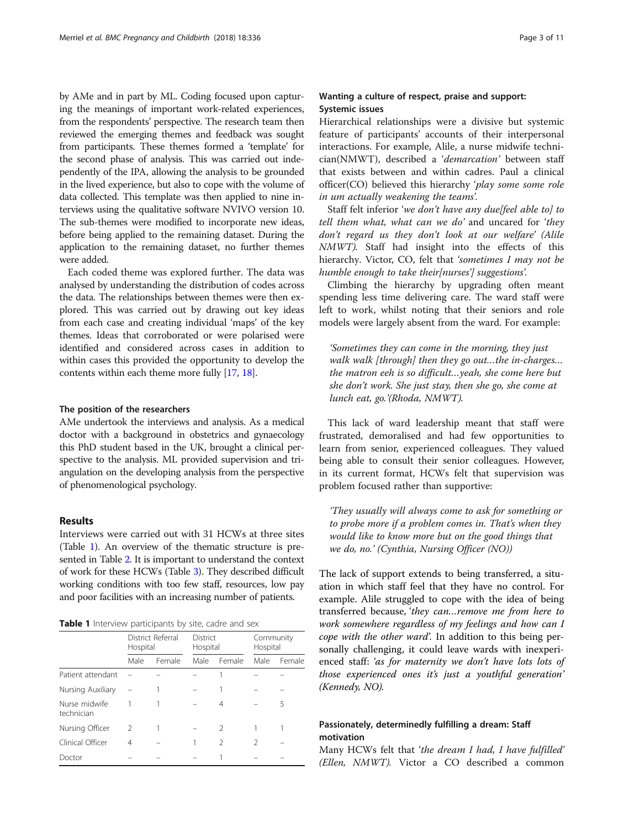by AMe and in part by ML. Coding focused upon capturing the meanings of important work-related experiences, from the respondents' perspective. The research team then reviewed the emerging themes and feedback was sought from participants. These themes formed a 'template' for the second phase of analysis. This was carried out independently of the IPA, allowing the analysis to be grounded in the lived experience, but also to cope with the volume of data collected. This template was then applied to nine interviews using the qualitative software NVIVO version 10. The sub-themes were modified to incorporate new ideas, before being applied to the remaining dataset. During the application to the remaining dataset, no further themes were added.

Each coded theme was explored further. The data was analysed by understanding the distribution of codes across the data. The relationships between themes were then explored. This was carried out by drawing out key ideas from each case and creating individual 'maps' of the key themes. Ideas that corroborated or were polarised were identified and considered across cases in addition to within cases this provided the opportunity to develop the contents within each theme more fully [[17](#page-10-0), [18\]](#page-10-0).

#### The position of the researchers

AMe undertook the interviews and analysis. As a medical doctor with a background in obstetrics and gynaecology this PhD student based in the UK, brought a clinical perspective to the analysis. ML provided supervision and triangulation on the developing analysis from the perspective of phenomenological psychology.

### Results

Interviews were carried out with 31 HCWs at three sites (Table 1). An overview of the thematic structure is presented in Table [2.](#page-3-0) It is important to understand the context of work for these HCWs (Table [3](#page-4-0)). They described difficult working conditions with too few staff, resources, low pay and poor facilities with an increasing number of patients.

| Table 1 Interview participants by site, cadre and sex |  |
|-------------------------------------------------------|--|
|-------------------------------------------------------|--|

|                             | District Referral<br>Hospital |        | District<br>Hospital |                | Community<br>Hospital |        |
|-----------------------------|-------------------------------|--------|----------------------|----------------|-----------------------|--------|
|                             | Male                          | Female | Male                 | Female         | Male                  | Female |
| Patient attendant           |                               |        |                      |                |                       |        |
| Nursing Auxiliary           |                               |        |                      |                |                       |        |
| Nurse midwife<br>technician |                               |        |                      | $\overline{4}$ |                       | 5      |
| Nursing Officer             | $\mathcal{P}$                 | 1      |                      | 2              |                       |        |
| Clinical Officer            | 4                             |        |                      | 2              | 2                     |        |
| Doctor                      |                               |        |                      |                |                       |        |

# Wanting a culture of respect, praise and support: Systemic issues

Hierarchical relationships were a divisive but systemic feature of participants' accounts of their interpersonal interactions. For example, Alile, a nurse midwife technician(NMWT), described a 'demarcation' between staff that exists between and within cadres. Paul a clinical officer(CO) believed this hierarchy 'play some some role in um actually weakening the teams'.

Staff felt inferior 'we don't have any due[feel able to] to tell them what, what can we do' and uncared for 'they don't regard us they don't look at our welfare' (Alile NMWT). Staff had insight into the effects of this hierarchy. Victor, CO, felt that 'sometimes I may not be humble enough to take their[nurses'] suggestions'.

Climbing the hierarchy by upgrading often meant spending less time delivering care. The ward staff were left to work, whilst noting that their seniors and role models were largely absent from the ward. For example:

'Sometimes they can come in the morning, they just walk walk [through] then they go out...the in-charges... the matron eeh is so difficult…yeah, she come here but she don't work. She just stay, then she go, she come at lunch eat, go.'(Rhoda, NMWT).

This lack of ward leadership meant that staff were frustrated, demoralised and had few opportunities to learn from senior, experienced colleagues. They valued being able to consult their senior colleagues. However, in its current format, HCWs felt that supervision was problem focused rather than supportive:

'They usually will always come to ask for something or to probe more if a problem comes in. That's when they would like to know more but on the good things that we do, no.' (Cynthia, Nursing Officer (NO))

The lack of support extends to being transferred, a situation in which staff feel that they have no control. For example. Alile struggled to cope with the idea of being transferred because, 'they can…remove me from here to work somewhere regardless of my feelings and how can I cope with the other ward'. In addition to this being personally challenging, it could leave wards with inexperienced staff: 'as for maternity we don't have lots lots of those experienced ones it's just a youthful generation' (Kennedy, NO).

# Passionately, determinedly fulfilling a dream: Staff motivation

Many HCWs felt that 'the dream I had, I have fulfilled' (Ellen, NMWT). Victor a CO described a common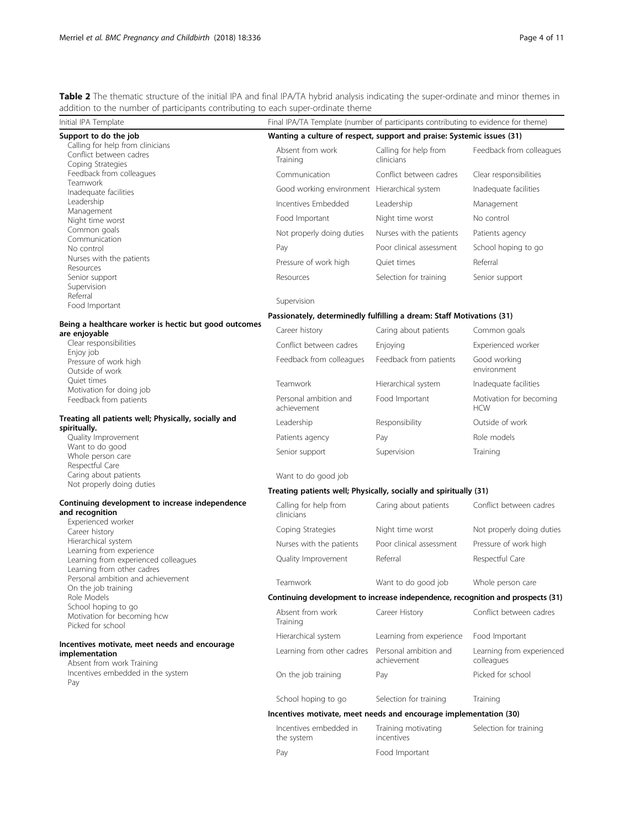<span id="page-3-0"></span>Table 2 The thematic structure of the initial IPA and final IPA/TA hybrid analysis indicating the super-ordinate and minor themes in addition to the number of participants contributing to each super-ordinate theme

| Initial IPA Template                                               | Final IPA/TA Template (number of participants contributing to evidence for theme) |                                   |                           |  |  |
|--------------------------------------------------------------------|-----------------------------------------------------------------------------------|-----------------------------------|---------------------------|--|--|
| Support to do the job                                              | Wanting a culture of respect, support and praise: Systemic issues (31)            |                                   |                           |  |  |
| Calling for help from clinicians<br>Conflict between cadres        | Absent from work                                                                  | Calling for help from             | Feedback from colleagues  |  |  |
| Coping Strategies                                                  | Training                                                                          | clinicians                        |                           |  |  |
| Feedback from colleagues                                           | Communication                                                                     | Conflict between cadres           | Clear responsibilities    |  |  |
| Teamwork                                                           | Good working environment Hierarchical system                                      |                                   | Inadequate facilities     |  |  |
| Inadequate facilities<br>Leadership                                | Incentives Embedded                                                               | Leadership                        |                           |  |  |
| Management                                                         |                                                                                   |                                   | Management                |  |  |
| Night time worst                                                   | Food Important                                                                    | Night time worst                  | No control                |  |  |
| Common goals<br>Communication                                      | Not properly doing duties                                                         | Nurses with the patients          | Patients agency           |  |  |
| No control                                                         | Pay                                                                               | Poor clinical assessment          | School hoping to go       |  |  |
| Nurses with the patients                                           | Pressure of work high                                                             | Quiet times                       | Referral                  |  |  |
| Resources<br>Senior support                                        | Resources                                                                         | Selection for training            | Senior support            |  |  |
| Supervision                                                        |                                                                                   |                                   |                           |  |  |
| Referral                                                           | Supervision                                                                       |                                   |                           |  |  |
| Food Important                                                     |                                                                                   |                                   |                           |  |  |
| Being a healthcare worker is hectic but good outcomes              | Passionately, determinedly fulfilling a dream: Staff Motivations (31)             |                                   |                           |  |  |
| are enjoyable                                                      | Career history                                                                    | Caring about patients             | Common goals              |  |  |
| Clear responsibilities                                             | Conflict between cadres                                                           | Enjoying                          | Experienced worker        |  |  |
| Enjoy job<br>Pressure of work high                                 | Feedback from colleagues                                                          | Feedback from patients            | Good working              |  |  |
| Outside of work                                                    |                                                                                   |                                   | environment               |  |  |
| Quiet times                                                        | Teamwork                                                                          | Hierarchical system               | Inadequate facilities     |  |  |
| Motivation for doing job<br>Feedback from patients                 | Personal ambition and                                                             | Food Important                    | Motivation for becoming   |  |  |
|                                                                    | achievement                                                                       |                                   | <b>HCW</b>                |  |  |
| Treating all patients well; Physically, socially and               | Leadership                                                                        | Responsibility                    | Outside of work           |  |  |
| spiritually.                                                       |                                                                                   |                                   |                           |  |  |
| Quality Improvement<br>Want to do good                             | Patients agency                                                                   | Pay                               | Role models               |  |  |
| Whole person care                                                  | Senior support                                                                    | Supervision                       | Training                  |  |  |
| Respectful Care                                                    |                                                                                   |                                   |                           |  |  |
| Caring about patients<br>Not properly doing duties                 | Want to do good job                                                               |                                   |                           |  |  |
|                                                                    | Treating patients well; Physically, socially and spiritually (31)                 |                                   |                           |  |  |
| Continuing development to increase independence                    | Calling for help from                                                             | Caring about patients             | Conflict between cadres   |  |  |
| and recognition<br>Experienced worker                              | clinicians                                                                        |                                   |                           |  |  |
| Career history                                                     | Coping Strategies                                                                 | Night time worst                  | Not properly doing duties |  |  |
| Hierarchical system                                                | Nurses with the patients                                                          | Poor clinical assessment          | Pressure of work high     |  |  |
| Learning from experience                                           | Quality Improvement                                                               | Referral                          | Respectful Care           |  |  |
| Learning from experienced colleagues<br>Learning from other cadres |                                                                                   |                                   |                           |  |  |
| Personal ambition and achievement                                  | Teamwork                                                                          | Want to do good job               | Whole person care         |  |  |
| On the job training                                                |                                                                                   |                                   |                           |  |  |
| Role Models<br>School hoping to go                                 | Continuing development to increase independence, recognition and prospects (31)   |                                   |                           |  |  |
| Motivation for becoming hcw                                        | Absent from work                                                                  | Career History                    | Conflict between cadres   |  |  |
| Picked for school                                                  | Training                                                                          |                                   |                           |  |  |
| Incentives motivate, meet needs and encourage                      | Hierarchical system                                                               | Learning from experience          | Food Important            |  |  |
| implementation                                                     | Learning from other cadres                                                        | Personal ambition and             | Learning from experienced |  |  |
| Absent from work Training                                          |                                                                                   | achievement                       | colleagues                |  |  |
| Incentives embedded in the system<br>Pay                           | On the job training                                                               | Pay                               | Picked for school         |  |  |
|                                                                    | School hoping to go                                                               | Selection for training            | Training                  |  |  |
|                                                                    | Incentives motivate, meet needs and encourage implementation (30)                 |                                   |                           |  |  |
|                                                                    | Incentives embedded in<br>the system                                              | Training motivating<br>incentives | Selection for training    |  |  |
|                                                                    | Pay                                                                               | Food Important                    |                           |  |  |
|                                                                    |                                                                                   |                                   |                           |  |  |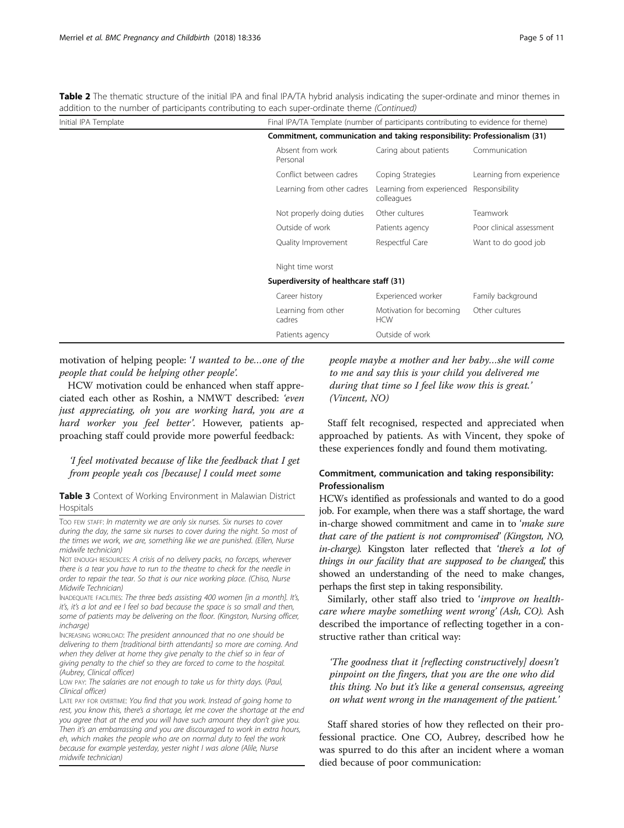<span id="page-4-0"></span>Table 2 The thematic structure of the initial IPA and final IPA/TA hybrid analysis indicating the super-ordinate and minor themes in addition to the number of participants contributing to each super-ordinate theme (Continued)

| Initial IPA Template | Final IPA/TA Template (number of participants contributing to evidence for theme) |                                         |                          |  |
|----------------------|-----------------------------------------------------------------------------------|-----------------------------------------|--------------------------|--|
|                      | Commitment, communication and taking responsibility: Professionalism (31)         |                                         |                          |  |
|                      | Absent from work<br>Caring about patients<br>Personal                             |                                         | Communication            |  |
|                      | Conflict between cadres                                                           | Coping Strategies                       | Learning from experience |  |
|                      | Learning from other cadres                                                        | Learning from experienced<br>colleagues | Responsibility           |  |
|                      | Not properly doing duties                                                         | Other cultures                          | Teamwork                 |  |
|                      | Outside of work                                                                   | Patients agency                         | Poor clinical assessment |  |
|                      | Quality Improvement                                                               | Respectful Care                         | Want to do good job      |  |
|                      | Night time worst                                                                  |                                         |                          |  |
|                      | Superdiversity of healthcare staff (31)                                           |                                         |                          |  |
|                      | Career history                                                                    | Experienced worker                      | Family background        |  |
|                      | Learning from other<br>cadres                                                     | Motivation for becoming<br><b>HCW</b>   | Other cultures           |  |
|                      | Patients agency                                                                   | Outside of work                         |                          |  |

motivation of helping people: 'I wanted to be…one of the people that could be helping other people'.

HCW motivation could be enhanced when staff appreciated each other as Roshin, a NMWT described: 'even just appreciating, oh you are working hard, you are a hard worker you feel better'. However, patients approaching staff could provide more powerful feedback:

# 'I feel motivated because of like the feedback that I get from people yeah cos [because] I could meet some

Table 3 Context of Working Environment in Malawian District Hospitals

people maybe a mother and her baby…she will come to me and say this is your child you delivered me during that time so I feel like wow this is great.' (Vincent, NO)

Staff felt recognised, respected and appreciated when approached by patients. As with Vincent, they spoke of these experiences fondly and found them motivating.

# Commitment, communication and taking responsibility: Professionalism

HCWs identified as professionals and wanted to do a good job. For example, when there was a staff shortage, the ward in-charge showed commitment and came in to 'make sure that care of the patient is not compromised' (Kingston, NO, in-charge). Kingston later reflected that 'there's a lot of things in our facility that are supposed to be changed, this showed an understanding of the need to make changes, perhaps the first step in taking responsibility.

Similarly, other staff also tried to 'improve on healthcare where maybe something went wrong' (Ash, CO). Ash described the importance of reflecting together in a constructive rather than critical way:

'The goodness that it [reflecting constructively] doesn't pinpoint on the fingers, that you are the one who did this thing. No but it's like a general consensus, agreeing on what went wrong in the management of the patient.'

Staff shared stories of how they reflected on their professional practice. One CO, Aubrey, described how he was spurred to do this after an incident where a woman died because of poor communication:

TOO FEW STAFF: In maternity we are only six nurses. Six nurses to cover during the day, the same six nurses to cover during the night. So most of the times we work, we are, something like we are punished. (Ellen, Nurse midwife technician)

NOT ENOUGH RESOURCES: A crisis of no delivery packs, no forceps, wherever there is a tear you have to run to the theatre to check for the needle in order to repair the tear. So that is our nice working place. (Chiso, Nurse Midwife Technician)

INADEQUATE FACILITIES: The three beds assisting 400 women [in a month]. It's, it's, it's a lot and ee I feel so bad because the space is so small and then, some of patients may be delivering on the floor. (Kingston, Nursing officer, incharge)

INCREASING WORKLOAD: The president announced that no one should be delivering to them [traditional birth attendants] so more are coming. And when they deliver at home they give penalty to the chief so in fear of giving penalty to the chief so they are forced to come to the hospital. (Aubrey, Clinical officer)

LOW PAY: The salaries are not enough to take us for thirty days. (Paul, Clinical officer)

LATE PAY FOR OVERTIME: You find that you work. Instead of going home to rest, you know this, there's a shortage, let me cover the shortage at the end you agree that at the end you will have such amount they don't give you. Then it's an embarrassing and you are discouraged to work in extra hours, eh, which makes the people who are on normal duty to feel the work because for example yesterday, yester night I was alone (Alile, Nurse midwife technician)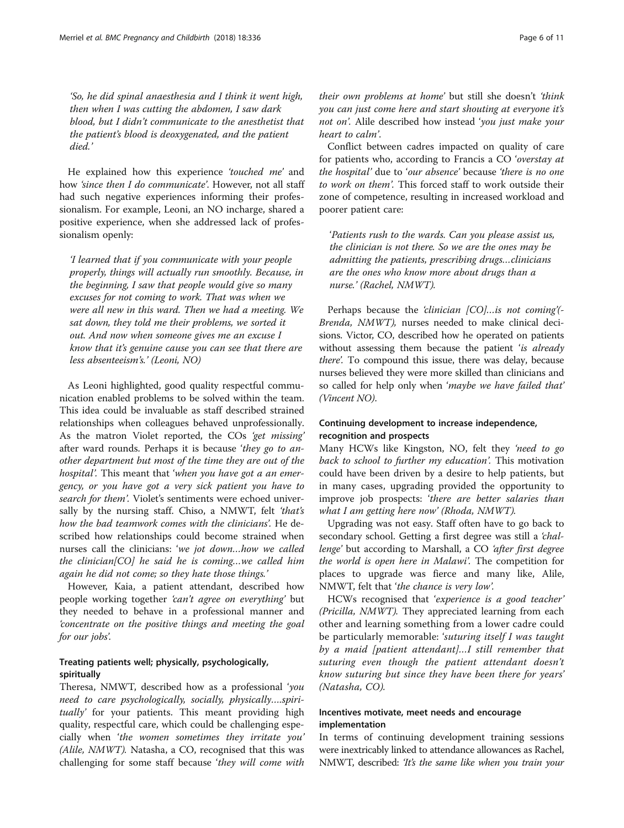'So, he did spinal anaesthesia and I think it went high, then when I was cutting the abdomen, I saw dark blood, but I didn't communicate to the anesthetist that the patient's blood is deoxygenated, and the patient died.'

He explained how this experience 'touched me' and how 'since then I do communicate'. However, not all staff had such negative experiences informing their professionalism. For example, Leoni, an NO incharge, shared a positive experience, when she addressed lack of professionalism openly:

'I learned that if you communicate with your people properly, things will actually run smoothly. Because, in the beginning, I saw that people would give so many excuses for not coming to work. That was when we were all new in this ward. Then we had a meeting. We sat down, they told me their problems, we sorted it out. And now when someone gives me an excuse I know that it's genuine cause you can see that there are less absenteeism's.' (Leoni, NO)

As Leoni highlighted, good quality respectful communication enabled problems to be solved within the team. This idea could be invaluable as staff described strained relationships when colleagues behaved unprofessionally. As the matron Violet reported, the COs 'get missing' after ward rounds. Perhaps it is because 'they go to another department but most of the time they are out of the hospital'. This meant that 'when you have got a an emergency, or you have got a very sick patient you have to search for them'. Violet's sentiments were echoed universally by the nursing staff. Chiso, a NMWT, felt 'that's how the bad teamwork comes with the clinicians'. He described how relationships could become strained when nurses call the clinicians: 'we jot down…how we called the clinician[CO] he said he is coming…we called him again he did not come; so they hate those things.'

However, Kaia, a patient attendant, described how people working together 'can't agree on everything' but they needed to behave in a professional manner and 'concentrate on the positive things and meeting the goal for our jobs'.

# Treating patients well; physically, psychologically, spiritually

Theresa, NMWT, described how as a professional 'you need to care psychologically, socially, physically….spiritually' for your patients. This meant providing high quality, respectful care, which could be challenging especially when 'the women sometimes they irritate you' (Alile, NMWT). Natasha, a CO, recognised that this was challenging for some staff because 'they will come with their own problems at home' but still she doesn't 'think you can just come here and start shouting at everyone it's not on'. Alile described how instead 'you just make your heart to calm'.

Conflict between cadres impacted on quality of care for patients who, according to Francis a CO 'overstay at the hospital' due to 'our absence' because 'there is no one to work on them'. This forced staff to work outside their zone of competence, resulting in increased workload and poorer patient care:

'Patients rush to the wards. Can you please assist us, the clinician is not there. So we are the ones may be admitting the patients, prescribing drugs…clinicians are the ones who know more about drugs than a nurse.' (Rachel, NMWT).

Perhaps because the 'clinician [CO]...is not coming'(-Brenda, NMWT), nurses needed to make clinical decisions. Victor, CO, described how he operated on patients without assessing them because the patient 'is already there'. To compound this issue, there was delay, because nurses believed they were more skilled than clinicians and so called for help only when 'maybe we have failed that' (Vincent NO).

# Continuing development to increase independence, recognition and prospects

Many HCWs like Kingston, NO, felt they 'need to go back to school to further my education'. This motivation could have been driven by a desire to help patients, but in many cases, upgrading provided the opportunity to improve job prospects: 'there are better salaries than what I am getting here now' (Rhoda, NMWT).

Upgrading was not easy. Staff often have to go back to secondary school. Getting a first degree was still a 'challenge' but according to Marshall, a CO 'after first degree the world is open here in Malawi'. The competition for places to upgrade was fierce and many like, Alile, NMWT, felt that 'the chance is very low'.

HCWs recognised that 'experience is a good teacher' (Pricilla, NMWT). They appreciated learning from each other and learning something from a lower cadre could be particularly memorable: 'suturing itself I was taught by a maid [patient attendant]…I still remember that suturing even though the patient attendant doesn't know suturing but since they have been there for years' (Natasha, CO).

# Incentives motivate, meet needs and encourage implementation

In terms of continuing development training sessions were inextricably linked to attendance allowances as Rachel, NMWT, described: 'It's the same like when you train your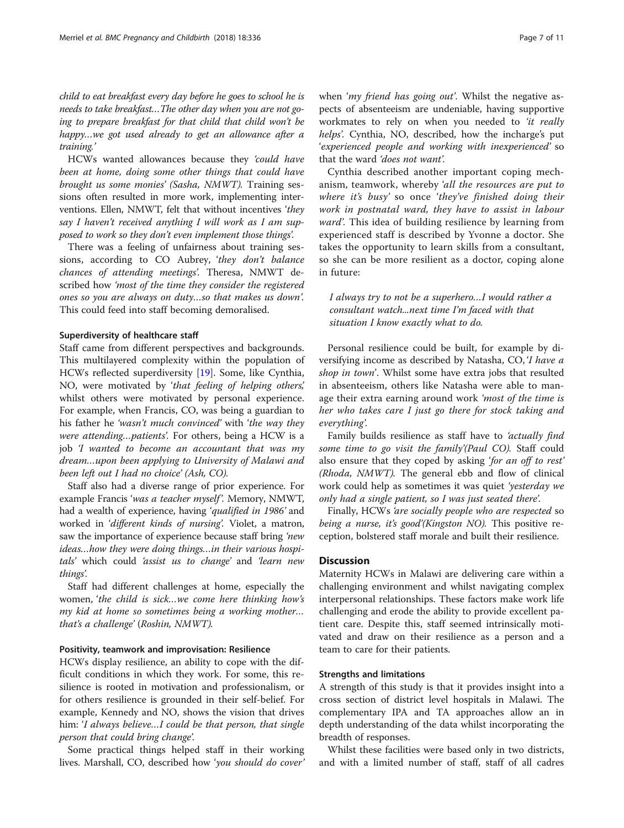child to eat breakfast every day before he goes to school he is needs to take breakfast…The other day when you are not going to prepare breakfast for that child that child won't be happy...we got used already to get an allowance after a training.'

HCWs wanted allowances because they 'could have been at home, doing some other things that could have brought us some monies' (Sasha, NMWT). Training sessions often resulted in more work, implementing interventions. Ellen, NMWT, felt that without incentives 'they say I haven't received anything I will work as I am supposed to work so they don't even implement those things'.

There was a feeling of unfairness about training sessions, according to CO Aubrey, 'they don't balance chances of attending meetings'. Theresa, NMWT described how 'most of the time they consider the registered ones so you are always on duty…so that makes us down'. This could feed into staff becoming demoralised.

### Superdiversity of healthcare staff

Staff came from different perspectives and backgrounds. This multilayered complexity within the population of HCWs reflected superdiversity [[19\]](#page-10-0). Some, like Cynthia, NO, were motivated by 'that feeling of helping others', whilst others were motivated by personal experience. For example, when Francis, CO, was being a guardian to his father he 'wasn't much convinced' with 'the way they were attending…patients'. For others, being a HCW is a job 'I wanted to become an accountant that was my dream…upon been applying to University of Malawi and been left out I had no choice' (Ash, CO).

Staff also had a diverse range of prior experience. For example Francis 'was a teacher myself'. Memory, NMWT, had a wealth of experience, having 'qualified in 1986' and worked in 'different kinds of nursing'. Violet, a matron, saw the importance of experience because staff bring 'new ideas…how they were doing things…in their various hospitals' which could 'assist us to change' and 'learn new things'.

Staff had different challenges at home, especially the women, 'the child is sick…we come here thinking how's my kid at home so sometimes being a working mother… that's a challenge' (Roshin, NMWT).

# Positivity, teamwork and improvisation: Resilience

HCWs display resilience, an ability to cope with the difficult conditions in which they work. For some, this resilience is rooted in motivation and professionalism, or for others resilience is grounded in their self-belief. For example, Kennedy and NO, shows the vision that drives him: 'I always believe...I could be that person, that single person that could bring change'.

Some practical things helped staff in their working lives. Marshall, CO, described how 'you should do cover' when 'my friend has going out'. Whilst the negative aspects of absenteeism are undeniable, having supportive workmates to rely on when you needed to 'it really helps'. Cynthia, NO, described, how the incharge's put 'experienced people and working with inexperienced' so that the ward 'does not want'.

Cynthia described another important coping mechanism, teamwork, whereby 'all the resources are put to where it's busy' so once 'they've finished doing their work in postnatal ward, they have to assist in labour ward'. This idea of building resilience by learning from experienced staff is described by Yvonne a doctor. She takes the opportunity to learn skills from a consultant, so she can be more resilient as a doctor, coping alone in future:

# I always try to not be a superhero…I would rather a consultant watch...next time I'm faced with that situation I know exactly what to do.

Personal resilience could be built, for example by diversifying income as described by Natasha, CO, 'I have a shop in town'. Whilst some have extra jobs that resulted in absenteeism, others like Natasha were able to manage their extra earning around work 'most of the time is her who takes care I just go there for stock taking and everything'.

Family builds resilience as staff have to 'actually find some time to go visit the family'(Paul CO). Staff could also ensure that they coped by asking 'for an off to rest' (Rhoda, NMWT). The general ebb and flow of clinical work could help as sometimes it was quiet 'yesterday we only had a single patient, so I was just seated there'.

Finally, HCWs 'are socially people who are respected so being a nurse, it's good'(Kingston NO). This positive reception, bolstered staff morale and built their resilience.

### **Discussion**

Maternity HCWs in Malawi are delivering care within a challenging environment and whilst navigating complex interpersonal relationships. These factors make work life challenging and erode the ability to provide excellent patient care. Despite this, staff seemed intrinsically motivated and draw on their resilience as a person and a team to care for their patients.

### Strengths and limitations

A strength of this study is that it provides insight into a cross section of district level hospitals in Malawi. The complementary IPA and TA approaches allow an in depth understanding of the data whilst incorporating the breadth of responses.

Whilst these facilities were based only in two districts, and with a limited number of staff, staff of all cadres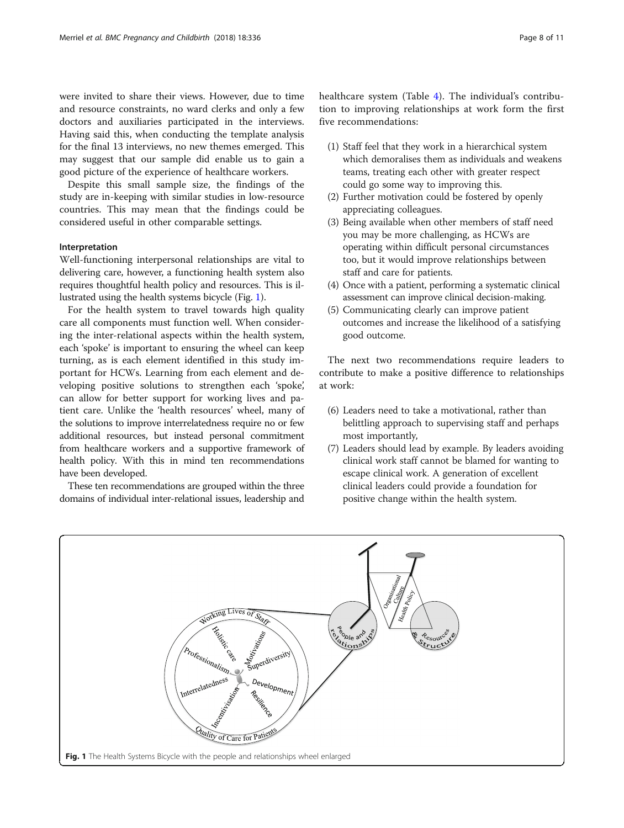were invited to share their views. However, due to time and resource constraints, no ward clerks and only a few doctors and auxiliaries participated in the interviews. Having said this, when conducting the template analysis for the final 13 interviews, no new themes emerged. This may suggest that our sample did enable us to gain a good picture of the experience of healthcare workers.

Despite this small sample size, the findings of the study are in-keeping with similar studies in low-resource countries. This may mean that the findings could be considered useful in other comparable settings.

### Interpretation

Well-functioning interpersonal relationships are vital to delivering care, however, a functioning health system also requires thoughtful health policy and resources. This is illustrated using the health systems bicycle (Fig. 1).

For the health system to travel towards high quality care all components must function well. When considering the inter-relational aspects within the health system, each 'spoke' is important to ensuring the wheel can keep turning, as is each element identified in this study important for HCWs. Learning from each element and developing positive solutions to strengthen each 'spoke', can allow for better support for working lives and patient care. Unlike the 'health resources' wheel, many of the solutions to improve interrelatedness require no or few additional resources, but instead personal commitment from healthcare workers and a supportive framework of health policy. With this in mind ten recommendations have been developed.

These ten recommendations are grouped within the three domains of individual inter-relational issues, leadership and healthcare system (Table [4\)](#page-8-0). The individual's contribution to improving relationships at work form the first five recommendations:

- (1) Staff feel that they work in a hierarchical system which demoralises them as individuals and weakens teams, treating each other with greater respect could go some way to improving this.
- (2) Further motivation could be fostered by openly appreciating colleagues.
- (3) Being available when other members of staff need you may be more challenging, as HCWs are operating within difficult personal circumstances too, but it would improve relationships between staff and care for patients.
- (4) Once with a patient, performing a systematic clinical assessment can improve clinical decision-making.
- (5) Communicating clearly can improve patient outcomes and increase the likelihood of a satisfying good outcome.

The next two recommendations require leaders to contribute to make a positive difference to relationships at work:

- (6) Leaders need to take a motivational, rather than belittling approach to supervising staff and perhaps most importantly,
- (7) Leaders should lead by example. By leaders avoiding clinical work staff cannot be blamed for wanting to escape clinical work. A generation of excellent clinical leaders could provide a foundation for positive change within the health system.

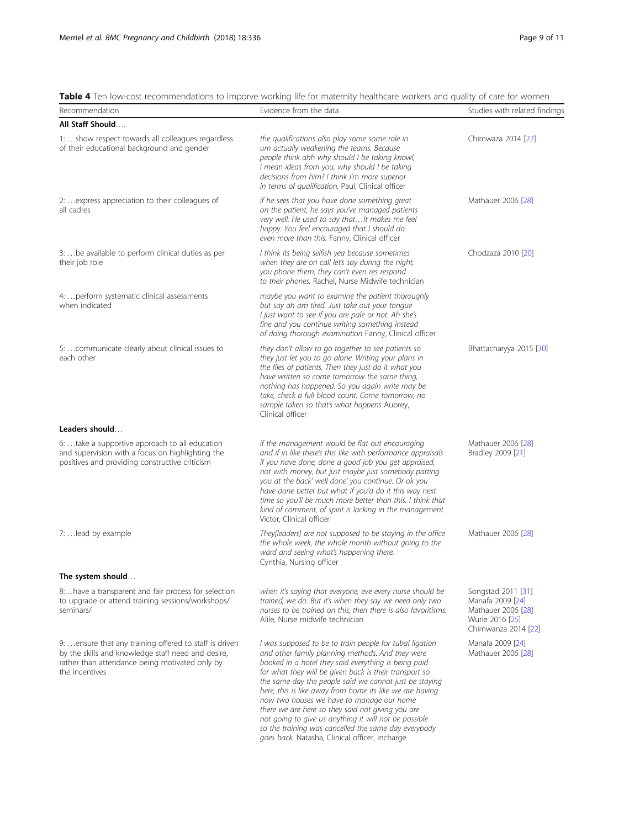<span id="page-8-0"></span>

|  | Table 4 Ten low-cost recommendations to imporve working life for maternity healthcare workers and quality of care for women |
|--|-----------------------------------------------------------------------------------------------------------------------------|
|  |                                                                                                                             |

| Recommendation                                                                                                                                                                    | Evidence from the data                                                                                                                                                                                                                                                                                                                                                                                                                                                                                                                                                                                                   | Studies with related findings                                                                          |
|-----------------------------------------------------------------------------------------------------------------------------------------------------------------------------------|--------------------------------------------------------------------------------------------------------------------------------------------------------------------------------------------------------------------------------------------------------------------------------------------------------------------------------------------------------------------------------------------------------------------------------------------------------------------------------------------------------------------------------------------------------------------------------------------------------------------------|--------------------------------------------------------------------------------------------------------|
| All Staff Should                                                                                                                                                                  |                                                                                                                                                                                                                                                                                                                                                                                                                                                                                                                                                                                                                          |                                                                                                        |
| 1: show respect towards all colleagues regardless<br>of their educational background and gender                                                                                   | the qualifications also play some some role in<br>um actually weakening the teams. Because<br>people think ahh why should I be taking knowl,<br>i mean ideas from you, why should I be taking<br>decisions from him? I think I'm more superior<br>in terms of qualification. Paul, Clinical officer                                                                                                                                                                                                                                                                                                                      | Chimwaza 2014 [22]                                                                                     |
| 2:  express appreciation to their colleagues of<br>all cadres                                                                                                                     | if he sees that you have done something great<br>on the patient, he says you've managed patients<br>very well. He used to say thatIt makes me feel<br>happy. You feel encouraged that I should do<br>even more than this. Fanny, Clinical officer                                                                                                                                                                                                                                                                                                                                                                        | Mathauer 2006 [28]                                                                                     |
| 3:  be available to perform clinical duties as per<br>their job role                                                                                                              | I think its being selfish yea because sometimes<br>when they are on call let's say during the night,<br>you phone them, they can't even res respond<br>to their phones. Rachel, Nurse Midwife technician                                                                                                                                                                                                                                                                                                                                                                                                                 | Chodzaza 2010 [20]                                                                                     |
| 4:  perform systematic clinical assessments<br>when indicated                                                                                                                     | maybe you want to examine the patient thoroughly<br>but say ah am tired. Just take out your tongue<br>I just want to see if you are pale or not. Ah she's<br>fine and you continue writing something instead<br>of doing thorough examination Fanny, Clinical officer                                                                                                                                                                                                                                                                                                                                                    |                                                                                                        |
| 5:  communicate clearly about clinical issues to<br>each other                                                                                                                    | they don't allow to go together to see patients so<br>they just let you to go alone. Writing your plans in<br>the files of patients. Then they just do it what you<br>have written so come tomorrow the same thing,<br>nothing has happened. So you again write may be<br>take, check a full blood count. Come tomorrow, no<br>sample taken so that's what happens Aubrey,<br>Clinical officer                                                                                                                                                                                                                           | Bhattacharyya 2015 [30]                                                                                |
| Leaders should                                                                                                                                                                    |                                                                                                                                                                                                                                                                                                                                                                                                                                                                                                                                                                                                                          |                                                                                                        |
| 6: take a supportive approach to all education<br>and supervision with a focus on highlighting the<br>positives and providing constructive criticism                              | if the management would be flat out encouraging<br>and if in like there's this like with performance appraisals<br>if you have done, done a good job you get appraised,<br>not with money, but just maybe just somebody patting<br>you at the back' well done' you continue. Or ok you<br>have done better but what if you'd do it this way next<br>time so you'll be much more better than this. I think that<br>kind of comment, of spirit is lacking in the management.<br>Victor, Clinical officer                                                                                                                   | Mathauer 2006 [28]<br>Bradley 2009 [21]                                                                |
| 7:  lead by example                                                                                                                                                               | They[leaders] are not supposed to be staying in the office<br>the whole week, the whole month without going to the<br>ward and seeing what's happening there.<br>Cynthia, Nursing officer                                                                                                                                                                                                                                                                                                                                                                                                                                | Mathauer 2006 [28]                                                                                     |
| The system should                                                                                                                                                                 |                                                                                                                                                                                                                                                                                                                                                                                                                                                                                                                                                                                                                          |                                                                                                        |
| 8 have a transparent and fair process for selection<br>to upgrade or attend training sessions/workshops/<br>seminars/                                                             | when it's saying that everyone, eve every nurse should be<br>trained, we do. But it's when they say we need only two<br>nurses to be trained on this, then there is also favoritisms.<br>Alile, Nurse midwife technician                                                                                                                                                                                                                                                                                                                                                                                                 | Songstad 2011 [31]<br>Manafa 2009 [24]<br>Mathauer 2006 [28]<br>Wurie 2016 [25]<br>Chimwanza 2014 [22] |
| 9:  ensure that any training offered to staff is driven<br>by the skills and knowledge staff need and desire,<br>rather than attendance being motivated only by<br>the incentives | I was supposed to be to train people for tubal ligation<br>and other family planning methods. And they were<br>booked in a hotel they said everything is being paid<br>for what they will be given back is their transport so<br>the same day the people said we cannot just be staying<br>here, this is like away from home its like we are having<br>now two houses we have to manage our home<br>there we are here so they said not giving you are<br>not going to give us anything it will not be possible<br>so the training was cancelled the same day everybody<br>goes back. Natasha, Clinical officer, incharge | Manafa 2009 [24]<br>Mathauer 2006 [28]                                                                 |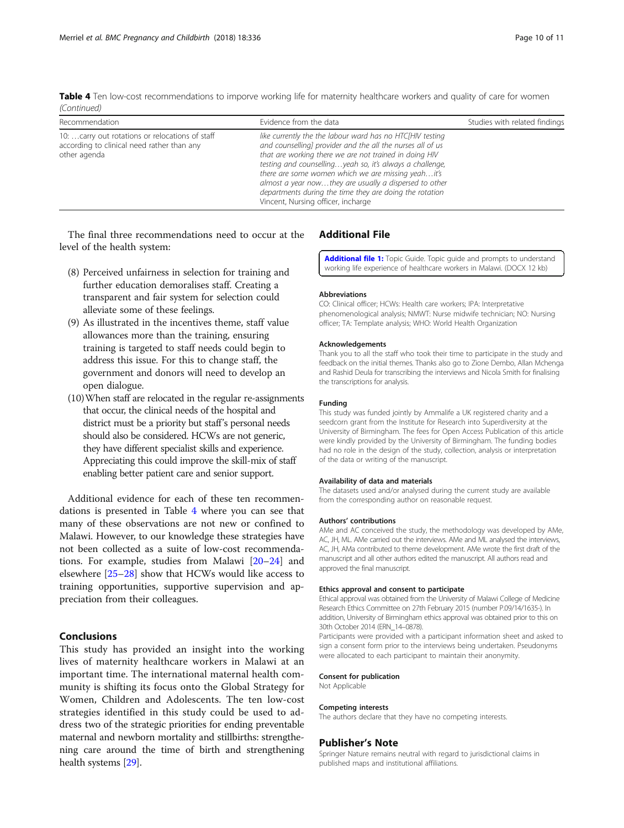<span id="page-9-0"></span>Table 4 Ten low-cost recommendations to imporve working life for maternity healthcare workers and quality of care for women (Continued)

| Recommendation                                                                                                 | Evidence from the data                                                                                                                                                                                                                                                                                                                                                                                                                                         | Studies with related findings |
|----------------------------------------------------------------------------------------------------------------|----------------------------------------------------------------------------------------------------------------------------------------------------------------------------------------------------------------------------------------------------------------------------------------------------------------------------------------------------------------------------------------------------------------------------------------------------------------|-------------------------------|
| 10:  carry out rotations or relocations of staff<br>according to clinical need rather than any<br>other agenda | like currently the the labour ward has no HTC[HIV testing<br>and counselling] provider and the all the nurses all of us<br>that are working there we are not trained in doing HIV<br>testing and counsellingyeah so, it's always a challenge,<br>there are some women which we are missing yeahit's<br>almost a year nowthey are usually a dispersed to other<br>departments during the time they are doing the rotation<br>Vincent, Nursing officer, incharge |                               |

The final three recommendations need to occur at the level of the health system:

- (8) Perceived unfairness in selection for training and further education demoralises staff. Creating a transparent and fair system for selection could alleviate some of these feelings.
- (9) As illustrated in the incentives theme, staff value allowances more than the training, ensuring training is targeted to staff needs could begin to address this issue. For this to change staff, the government and donors will need to develop an open dialogue.
- (10)When staff are relocated in the regular re-assignments that occur, the clinical needs of the hospital and district must be a priority but staff's personal needs should also be considered. HCWs are not generic, they have different specialist skills and experience. Appreciating this could improve the skill-mix of staff enabling better patient care and senior support.

Additional evidence for each of these ten recommendations is presented in Table [4](#page-8-0) where you can see that many of these observations are not new or confined to Malawi. However, to our knowledge these strategies have not been collected as a suite of low-cost recommendations. For example, studies from Malawi [[20](#page-10-0)–[24](#page-10-0)] and elsewhere [[25](#page-10-0)–[28](#page-10-0)] show that HCWs would like access to training opportunities, supportive supervision and appreciation from their colleagues.

# Conclusions

This study has provided an insight into the working lives of maternity healthcare workers in Malawi at an important time. The international maternal health community is shifting its focus onto the Global Strategy for Women, Children and Adolescents. The ten low-cost strategies identified in this study could be used to address two of the strategic priorities for ending preventable maternal and newborn mortality and stillbirths: strengthening care around the time of birth and strengthening health systems [[29](#page-10-0)].

### Additional File

[Additional file 1:](https://doi.org/10.1186/s12884-018-1960-5) Topic Guide. Topic quide and prompts to understand working life experience of healthcare workers in Malawi. (DOCX 12 kb)

#### Abbreviations

CO: Clinical officer; HCWs: Health care workers; IPA: Interpretative phenomenological analysis; NMWT: Nurse midwife technician; NO: Nursing officer; TA: Template analysis; WHO: World Health Organization

#### Acknowledgements

Thank you to all the staff who took their time to participate in the study and feedback on the initial themes. Thanks also go to Zione Dembo, Allan Mchenga and Rashid Deula for transcribing the interviews and Nicola Smith for finalising the transcriptions for analysis.

#### Funding

This study was funded jointly by Ammalife a UK registered charity and a seedcorn grant from the Institute for Research into Superdiversity at the University of Birmingham. The fees for Open Access Publication of this article were kindly provided by the University of Birmingham. The funding bodies had no role in the design of the study, collection, analysis or interpretation of the data or writing of the manuscript.

#### Availability of data and materials

The datasets used and/or analysed during the current study are available from the corresponding author on reasonable request.

#### Authors' contributions

AMe and AC conceived the study, the methodology was developed by AMe, AC, JH, ML. AMe carried out the interviews. AMe and ML analysed the interviews, AC, JH, AMa contributed to theme development. AMe wrote the first draft of the manuscript and all other authors edited the manuscript. All authors read and approved the final manuscript.

#### Ethics approval and consent to participate

Ethical approval was obtained from the University of Malawi College of Medicine Research Ethics Committee on 27th February 2015 (number P.09/14/1635-). In addition, University of Birmingham ethics approval was obtained prior to this on 30th October 2014 (ERN\_14–0878).

Participants were provided with a participant information sheet and asked to sign a consent form prior to the interviews being undertaken. Pseudonyms were allocated to each participant to maintain their anonymity.

#### Consent for publication

Not Applicable

#### Competing interests

The authors declare that they have no competing interests.

#### Publisher's Note

Springer Nature remains neutral with regard to jurisdictional claims in published maps and institutional affiliations.